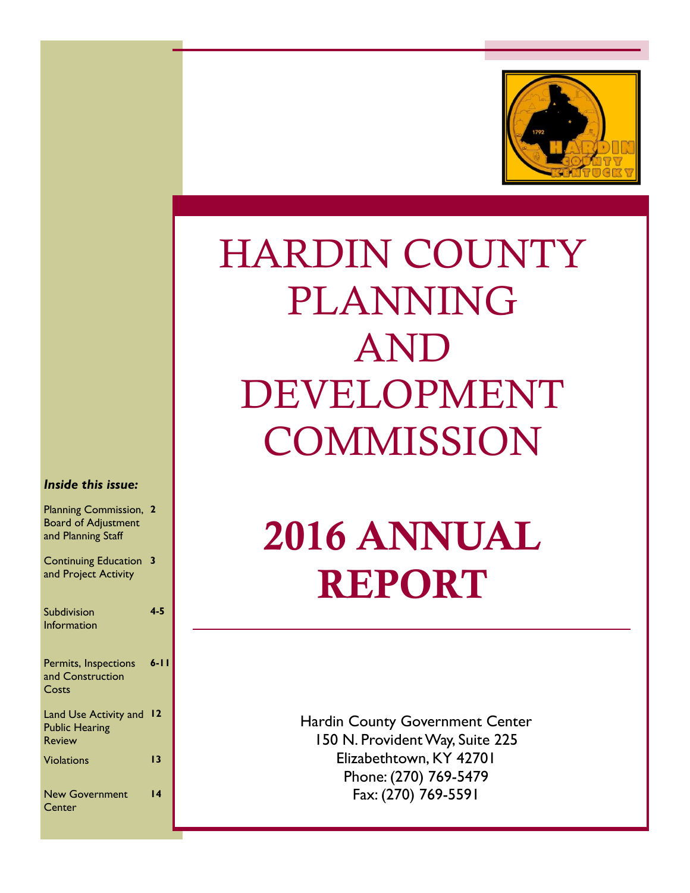

# HARDIN COUNTY PLANNING AND DEVELOPMENT **COMMISSION**

#### *Inside this issue:*

| <b>Planning Commission,</b><br><b>Board of Adjustment</b><br>and Planning Staff | - 2             |
|---------------------------------------------------------------------------------|-----------------|
| <b>Continuing Education</b><br>and Project Activity                             | 3               |
| Subdivision                                                                     | $4 - 5$         |
| Information                                                                     |                 |
| Permits, Inspections<br>and Construction<br>Costs                               | $6 - 11$        |
| Land Use Activity and<br><b>Public Hearing</b><br><b>Review</b>                 | $\overline{12}$ |
| <b>Violations</b>                                                               | 13              |
| <b>New Government</b><br>Center                                                 | 14              |

# 2016 ANNUAL REPORT

Hardin County Government Center 150 N. Provident Way, Suite 225 Elizabethtown, KY 42701 Phone: (270) 769-5479 Fax: (270) 769-5591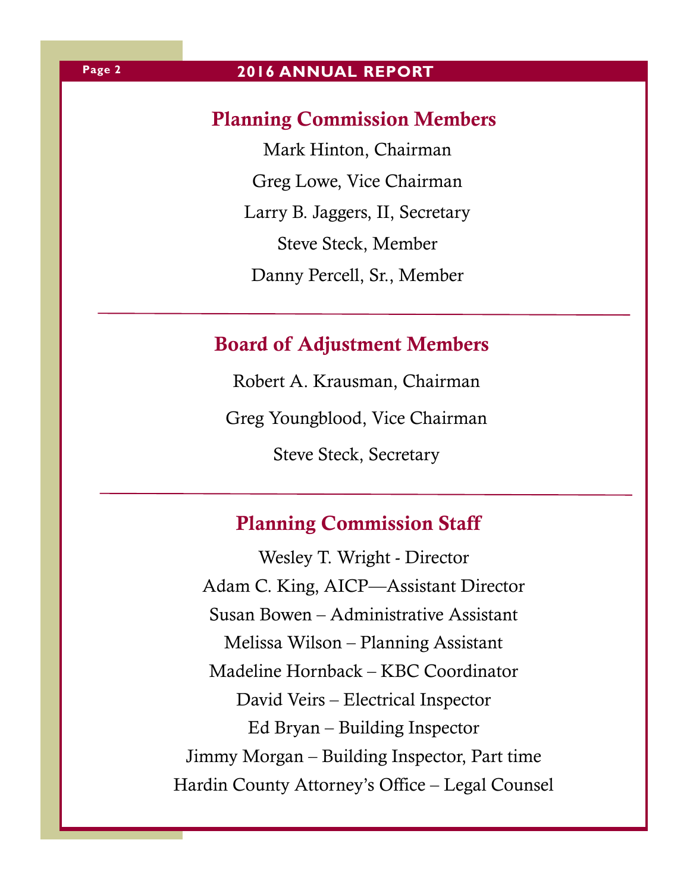## Planning Commission Members

Mark Hinton, Chairman Greg Lowe, Vice Chairman Larry B. Jaggers, II, Secretary Steve Steck, Member Danny Percell, Sr., Member

## Board of Adjustment Members

Robert A. Krausman, Chairman Greg Youngblood, Vice Chairman Steve Steck, Secretary

## Planning Commission Staff

Wesley T. Wright - Director Adam C. King, AICP—Assistant Director Susan Bowen – Administrative Assistant Melissa Wilson – Planning Assistant Madeline Hornback – KBC Coordinator David Veirs – Electrical Inspector Ed Bryan – Building Inspector Jimmy Morgan – Building Inspector, Part time Hardin County Attorney's Office – Legal Counsel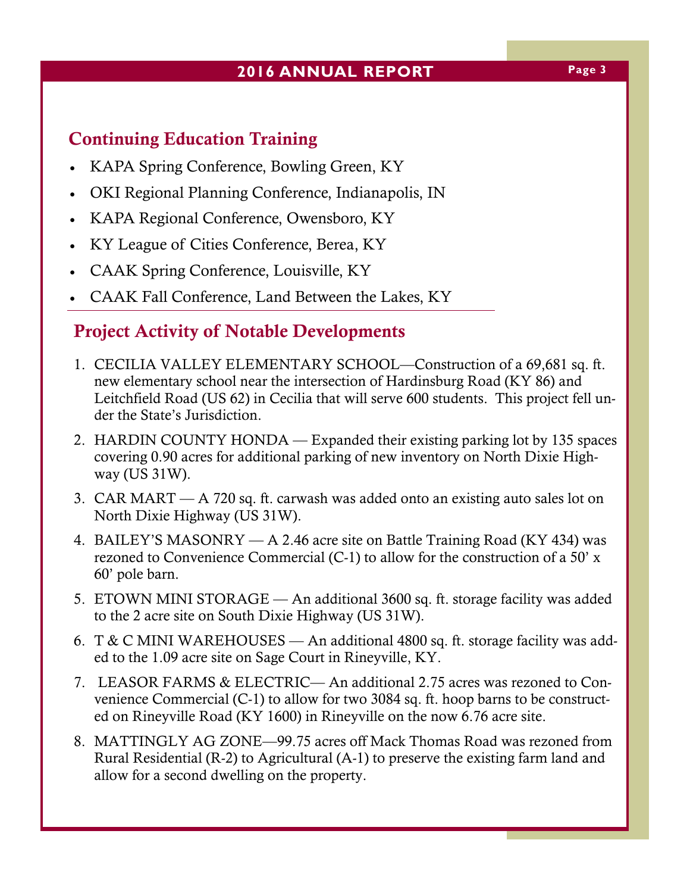## **2016 ANNUAL REPORT Page 3**

## Continuing Education Training

- KAPA Spring Conference, Bowling Green, KY
- OKI Regional Planning Conference, Indianapolis, IN
- KAPA Regional Conference, Owensboro, KY
- KY League of Cities Conference, Berea, KY
- CAAK Spring Conference, Louisville, KY
- CAAK Fall Conference, Land Between the Lakes, KY

## Project Activity of Notable Developments

- 1. CECILIA VALLEY ELEMENTARY SCHOOL—Construction of a 69,681 sq. ft. new elementary school near the intersection of Hardinsburg Road (KY 86) and Leitchfield Road (US 62) in Cecilia that will serve 600 students. This project fell under the State's Jurisdiction.
- 2. HARDIN COUNTY HONDA Expanded their existing parking lot by 135 spaces covering 0.90 acres for additional parking of new inventory on North Dixie Highway (US 31W).
- 3. CAR MART A 720 sq. ft. carwash was added onto an existing auto sales lot on North Dixie Highway (US 31W).
- 4. BAILEY'S MASONRY A 2.46 acre site on Battle Training Road (KY 434) was rezoned to Convenience Commercial (C-1) to allow for the construction of a 50' x 60' pole barn.
- 5. ETOWN MINI STORAGE An additional 3600 sq. ft. storage facility was added to the 2 acre site on South Dixie Highway (US 31W).
- 6. T & C MINI WAREHOUSES An additional 4800 sq. ft. storage facility was added to the 1.09 acre site on Sage Court in Rineyville, KY.
- 7. LEASOR FARMS & ELECTRIC— An additional 2.75 acres was rezoned to Convenience Commercial (C-1) to allow for two 3084 sq. ft. hoop barns to be constructed on Rineyville Road (KY 1600) in Rineyville on the now 6.76 acre site.
- 8. MATTINGLY AG ZONE—99.75 acres off Mack Thomas Road was rezoned from Rural Residential (R-2) to Agricultural (A-1) to preserve the existing farm land and allow for a second dwelling on the property.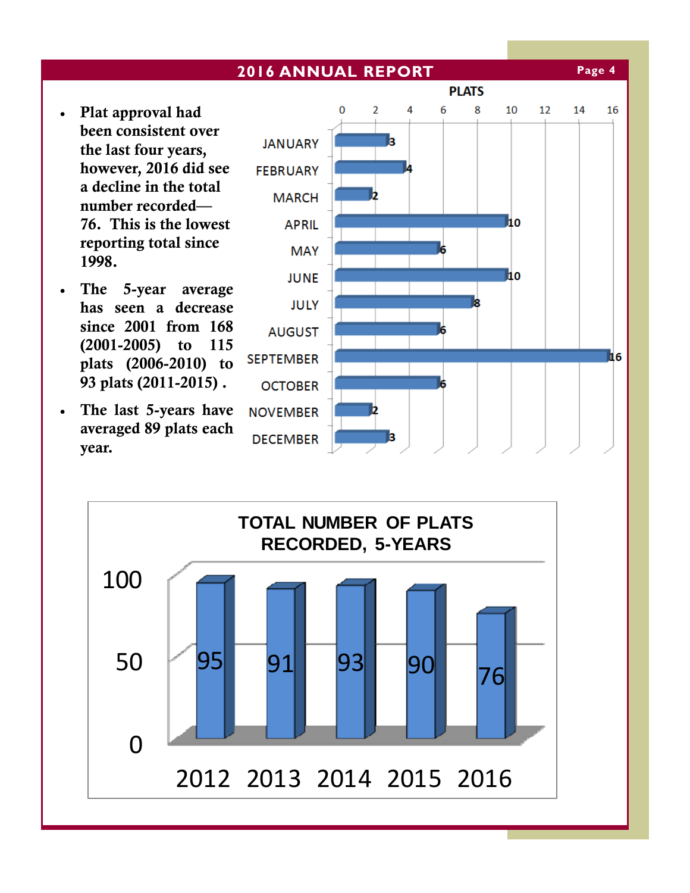- Plat approval had been consistent over the last four years, however, 2016 did see a decline in the total number recorded— 76. This is the lowest reporting total since 1998.
- The 5-year average has seen a decrease since 2001 from 168 (2001-2005) to 115 plats (2006-2010) to 93 plats (2011-2015) .
- The last 5-years have averaged 89 plats each year.





**Page 4**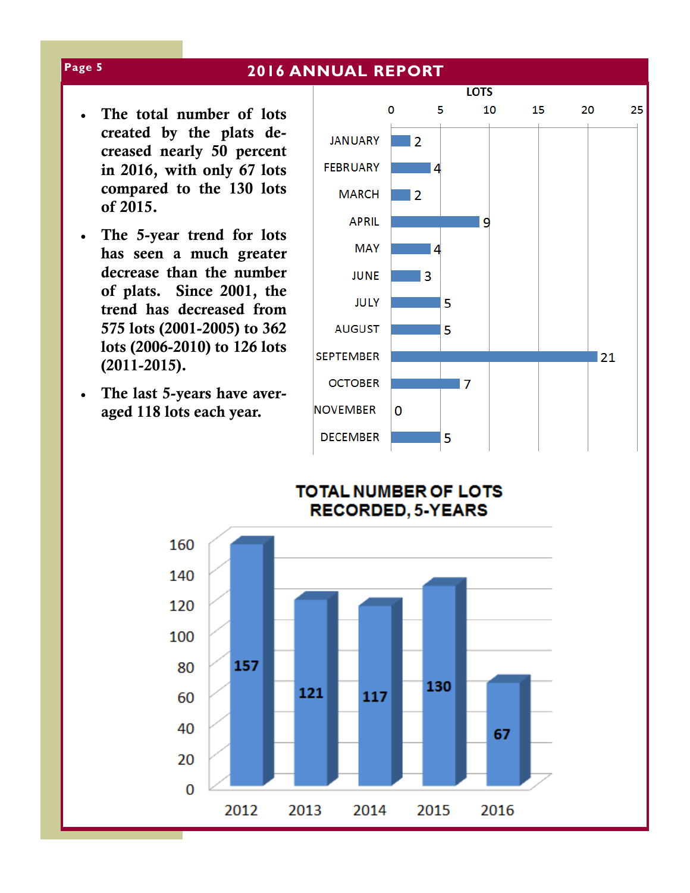- The total number of lots created by the plats decreased nearly 50 percent in 2016, with only 67 lots compared to the 130 lots of 2015.
- The 5-year trend for lots has seen a much greater decrease than the number of plats. Since 2001, the trend has decreased from 575 lots (2001-2005) to 362 lots (2006-2010) to 126 lots (2011-2015).
- The last 5-years have averaged 118 lots each year.





#### **Page 5**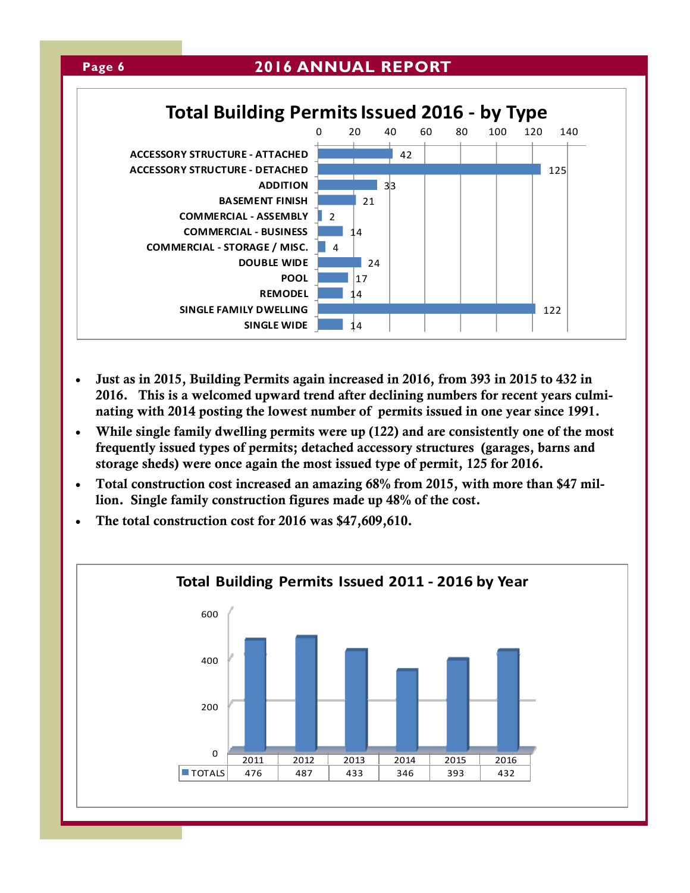

- Just as in 2015, Building Permits again increased in 2016, from 393 in 2015 to 432 in 2016. This is a welcomed upward trend after declining numbers for recent years culminating with 2014 posting the lowest number of permits issued in one year since 1991.
- While single family dwelling permits were up (122) and are consistently one of the most frequently issued types of permits; detached accessory structures (garages, barns and storage sheds) were once again the most issued type of permit, 125 for 2016.
- Total construction cost increased an amazing 68% from 2015, with more than \$47 million. Single family construction figures made up 48% of the cost.
- The total construction cost for 2016 was \$47,609,610.

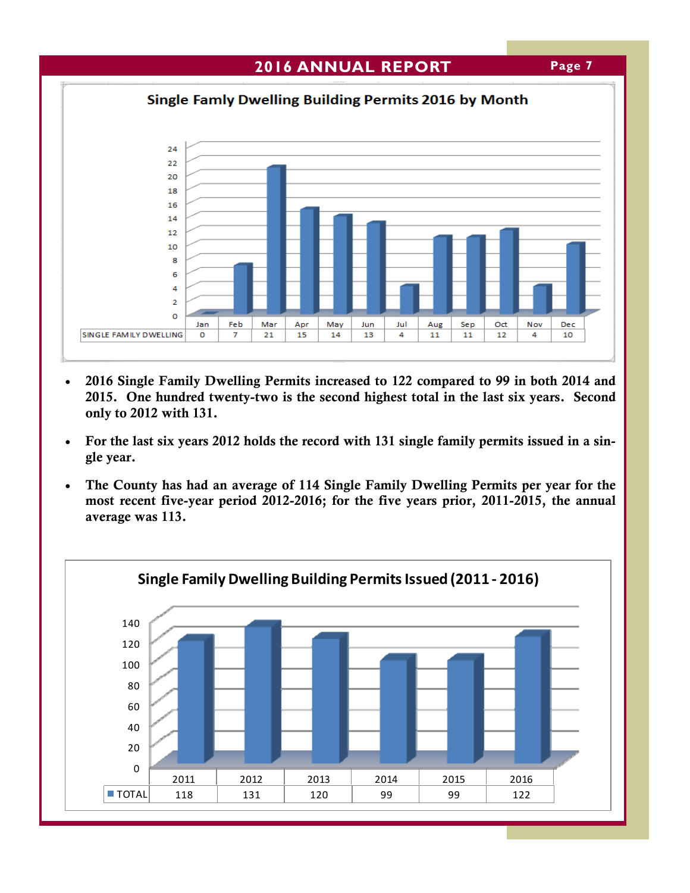

- 2016 Single Family Dwelling Permits increased to 122 compared to 99 in both 2014 and 2015. One hundred twenty-two is the second highest total in the last six years. Second only to 2012 with 131.
- For the last six years 2012 holds the record with 131 single family permits issued in a single year.
- The County has had an average of 114 Single Family Dwelling Permits per year for the most recent five-year period 2012-2016; for the five years prior, 2011-2015, the annual average was 113.

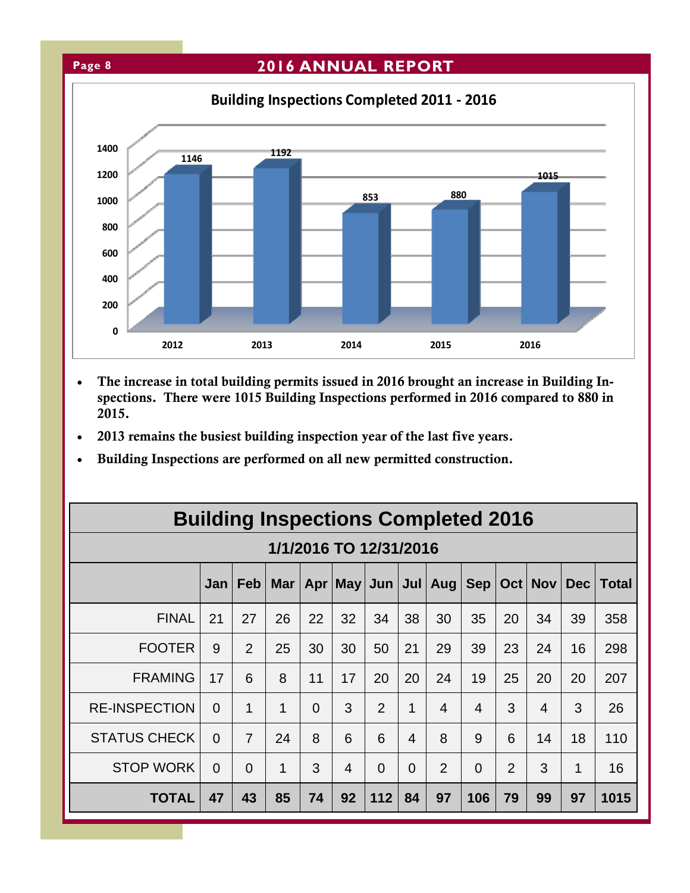

- The increase in total building permits issued in 2016 brought an increase in Building Inspections. There were 1015 Building Inspections performed in 2016 compared to 880 in 2015.
- 2013 remains the busiest building inspection year of the last five years.
- Building Inspections are performed on all new permitted construction.

| <b>Building Inspections Completed 2016</b> |          |                |            |          |                |          |          |                             |                   |                  |                          |     |       |
|--------------------------------------------|----------|----------------|------------|----------|----------------|----------|----------|-----------------------------|-------------------|------------------|--------------------------|-----|-------|
| 1/1/2016 TO 12/31/2016                     |          |                |            |          |                |          |          |                             |                   |                  |                          |     |       |
|                                            | Jan      | <b>Feb</b>     | <b>Mar</b> |          |                |          |          | Apr   May   Jun   Jul   Aug | Sep <sub>  </sub> | Oct <sub>1</sub> | <b>Nov</b>               | Dec | Total |
| <b>FINAL</b>                               | 21       | 27             | 26         | 22       | 32             | 34       | 38       | 30                          | 35                | 20               | 34                       | 39  | 358   |
| <b>FOOTER</b>                              | 9        | 2              | 25         | 30       | 30             | 50       | 21       | 29                          | 39                | 23               | 24                       | 16  | 298   |
| <b>FRAMING</b>                             | 17       | 6              | 8          | 11       | 17             | 20       | 20       | 24                          | 19                | 25               | 20                       | 20  | 207   |
| <b>RE-INSPECTION</b>                       | $\Omega$ | 1              | 1          | $\Omega$ | 3              | 2        | 1        | $\overline{4}$              | $\overline{4}$    | 3                | $\overline{\mathcal{A}}$ | 3   | 26    |
| <b>STATUS CHECK</b>                        | $\Omega$ | $\overline{7}$ | 24         | 8        | 6              | 6        | 4        | 8                           | 9                 | 6                | 14                       | 18  | 110   |
| <b>STOP WORK</b>                           | $\Omega$ | $\Omega$       | 1          | 3        | $\overline{4}$ | $\Omega$ | $\Omega$ | $\overline{2}$              | $\overline{0}$    | $\overline{2}$   | 3                        | 1   | 16    |
| <b>TOTAL</b>                               | 47       | 43             | 85         | 74       | 92             | 112      | 84       | 97                          | 106               | 79               | 99                       | 97  | 1015  |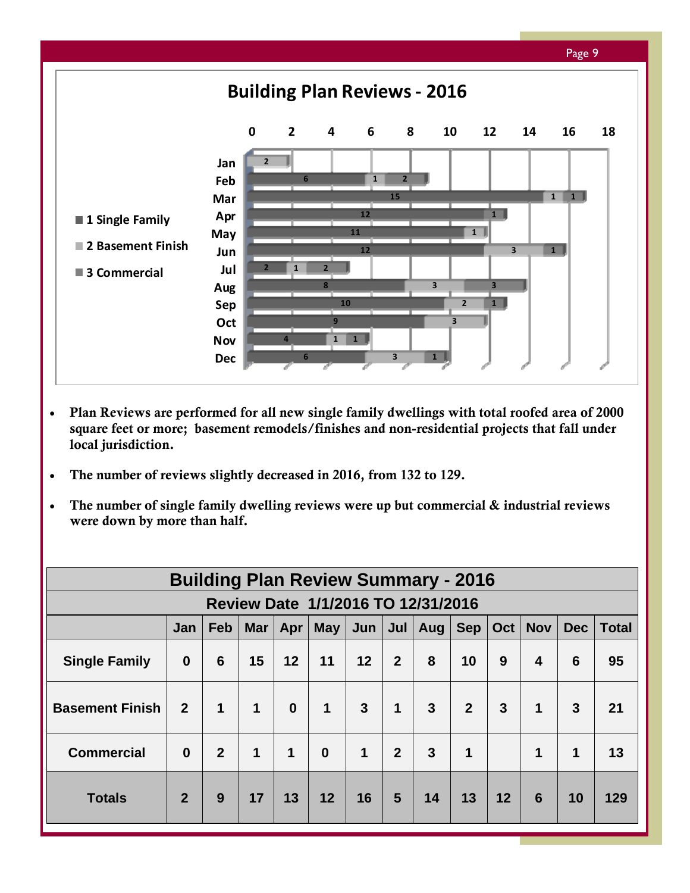![](_page_8_Figure_0.jpeg)

- Plan Reviews are performed for all new single family dwellings with total roofed area of 2000 square feet or more; basement remodels/finishes and non-residential projects that fall under local jurisdiction.
- The number of reviews slightly decreased in 2016, from 132 to 129.
- The number of single family dwelling reviews were up but commercial & industrial reviews were down by more than half.

| <b>Building Plan Review Summary - 2016</b> |                                                                                                                                           |                |             |              |             |              |                |                |                |    |                 |              |     |
|--------------------------------------------|-------------------------------------------------------------------------------------------------------------------------------------------|----------------|-------------|--------------|-------------|--------------|----------------|----------------|----------------|----|-----------------|--------------|-----|
| Review Date 1/1/2016 TO 12/31/2016         |                                                                                                                                           |                |             |              |             |              |                |                |                |    |                 |              |     |
|                                            | <b>Nov</b><br><b>May</b><br><b>Sep</b><br>Oct <sub>1</sub><br><b>Dec</b><br><b>Feb</b><br>Jun<br>Jul<br><b>Mar</b><br>Aug  <br>Jan<br>Apr |                |             |              |             |              |                |                |                |    | <b>Total</b>    |              |     |
| <b>Single Family</b>                       | $\boldsymbol{0}$                                                                                                                          | 6              | 15          | 12           | 11          | 12           | $\overline{2}$ | 8              | 10             | 9  | 4               | 6            | 95  |
| <b>Basement Finish</b>                     | $\overline{2}$                                                                                                                            | 1              | 1           | $\mathbf{0}$ | 1           | $\mathbf{3}$ | $\mathbf 1$    | $\overline{3}$ | $\overline{2}$ | 3  | $\mathbf 1$     | $\mathbf{3}$ | 21  |
| <b>Commercial</b>                          | $\bf{0}$                                                                                                                                  | $\overline{2}$ | $\mathbf 1$ | 1            | $\mathbf 0$ | $\mathbf{1}$ | 2 <sup>2</sup> | $\overline{3}$ | 1              |    | $\mathbf 1$     | 1            | 13  |
| <b>Totals</b>                              | $\overline{2}$                                                                                                                            | 9              | 17          | 13           | 12          | 16           | 5              | 14             | 13             | 12 | $6\phantom{1}6$ | 10           | 129 |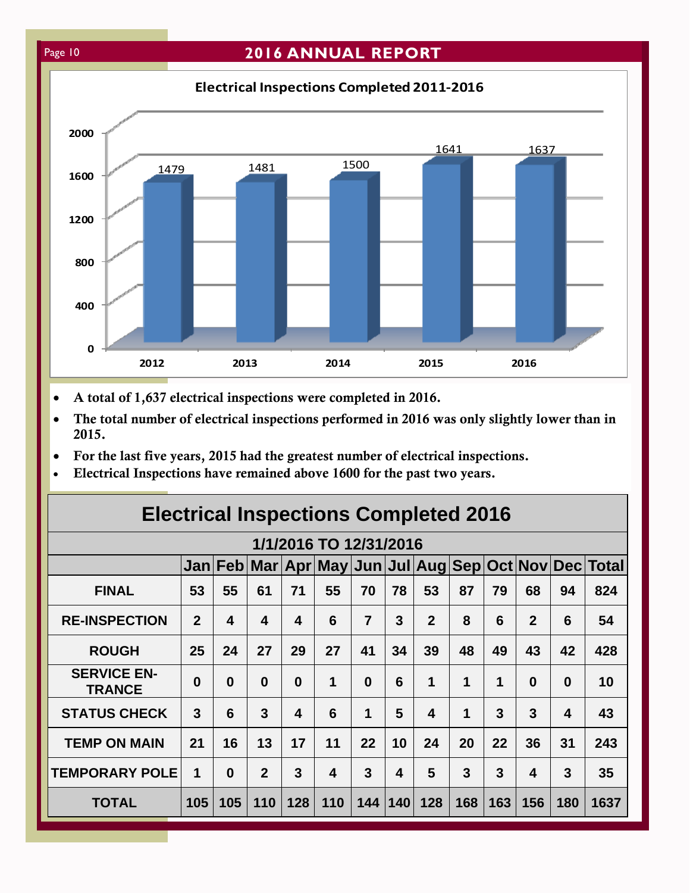## Page 10 **2016 ANNUAL REPORT**

**0 400 800 1200 1600 2000 2012 2013 2014 2015 2016** 1479 1481 1500 1641 1637 **Electrical Inspections Completed 2011‐2016**

- A total of 1,637 electrical inspections were completed in 2016.
- The total number of electrical inspections performed in 2016 was only slightly lower than in 2015.
- For the last five years, 2015 had the greatest number of electrical inspections.
- Electrical Inspections have remained above 1600 for the past two years.

| <b>Electrical Inspections Completed 2016</b> |                |          |                |                         |                         |                |           |                         |     |     |                         |          |                                                       |
|----------------------------------------------|----------------|----------|----------------|-------------------------|-------------------------|----------------|-----------|-------------------------|-----|-----|-------------------------|----------|-------------------------------------------------------|
|                                              |                |          |                |                         | 1/1/2016 TO 12/31/2016  |                |           |                         |     |     |                         |          |                                                       |
|                                              |                |          |                |                         |                         |                |           |                         |     |     |                         |          | Jan Feb Mar Apr May Jun Jul Aug Sep Oct Nov Dec Total |
| <b>FINAL</b>                                 | 53             | 55       | 61             | 71                      | 55                      | 70             | 78        | 53                      | 87  | 79  | 68                      | 94       | 824                                                   |
| <b>RE-INSPECTION</b>                         | $\overline{2}$ | 4        | 4              | $\overline{\mathbf{4}}$ | 6                       | $\overline{7}$ | 3         | $\mathbf{2}$            | 8   | 6   | $\mathbf{2}$            | 6        | 54                                                    |
| <b>ROUGH</b>                                 | 25             | 24       | 27             | 29                      | 27                      | 41             | 34        | 39                      | 48  | 49  | 43                      | 42       | 428                                                   |
| <b>SERVICE EN-</b><br><b>TRANCE</b>          | $\bf{0}$       | $\bf{0}$ | $\bf{0}$       | $\bf{0}$                | 1                       | $\Omega$       | 6         | 1                       | 1   | 1   | $\bf{0}$                | $\Omega$ | 10                                                    |
| <b>STATUS CHECK</b>                          | 3              | 6        | 3              | $\overline{\mathbf{4}}$ | 6                       | 1              | 5         | $\overline{\mathbf{4}}$ | 1   | 3   | 3                       | 4        | 43                                                    |
| <b>TEMP ON MAIN</b>                          | 21             | 16       | 13             | 17                      | 11                      | 22             | 10        | 24                      | 20  | 22  | 36                      | 31       | 243                                                   |
| <b>TEMPORARY POLE</b>                        | 1              | $\bf{0}$ | $\overline{2}$ | 3                       | $\overline{\mathbf{4}}$ | 3              | 4         | 5                       | 3   | 3   | $\overline{\mathbf{4}}$ | 3        | 35                                                    |
| <b>TOTAL</b>                                 | 105            | 105      | 110            | 128                     | 110                     |                | 144   140 | 128                     | 168 | 163 | 156                     | 180      | 1637                                                  |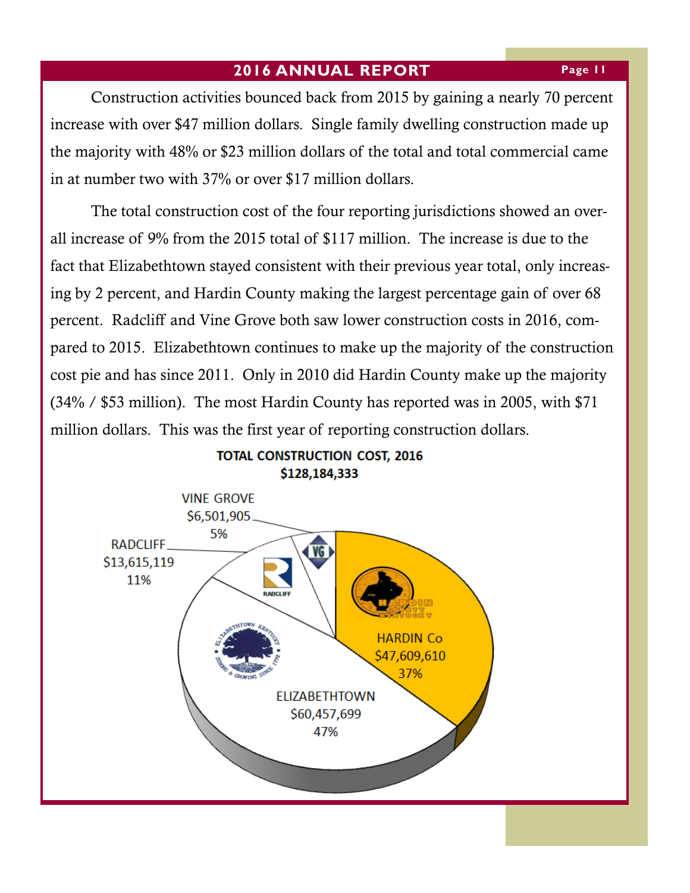Construction activities bounced back from 2015 by gaining a nearly 70 percent increase with over \$47 million dollars. Single family dwelling construction made up the majority with 48% or \$23 million dollars of the total and total commercial came in at number two with 37% or over \$17 million dollars.

 The total construction cost of the four reporting jurisdictions showed an overall increase of 9% from the 2015 total of \$117 million. The increase is due to the fact that Elizabethtown stayed consistent with their previous year total, only increasing by 2 percent, and Hardin County making the largest percentage gain of over 68 percent. Radcliff and Vine Grove both saw lower construction costs in 2016, compared to 2015. Elizabethtown continues to make up the majority of the construction cost pie and has since 2011. Only in 2010 did Hardin County make up the majority (34% / \$53 million). The most Hardin County has reported was in 2005, with \$71 million dollars. This was the first year of reporting construction dollars.

![](_page_10_Figure_3.jpeg)

## **TOTAL CONSTRUCTION COST, 2016**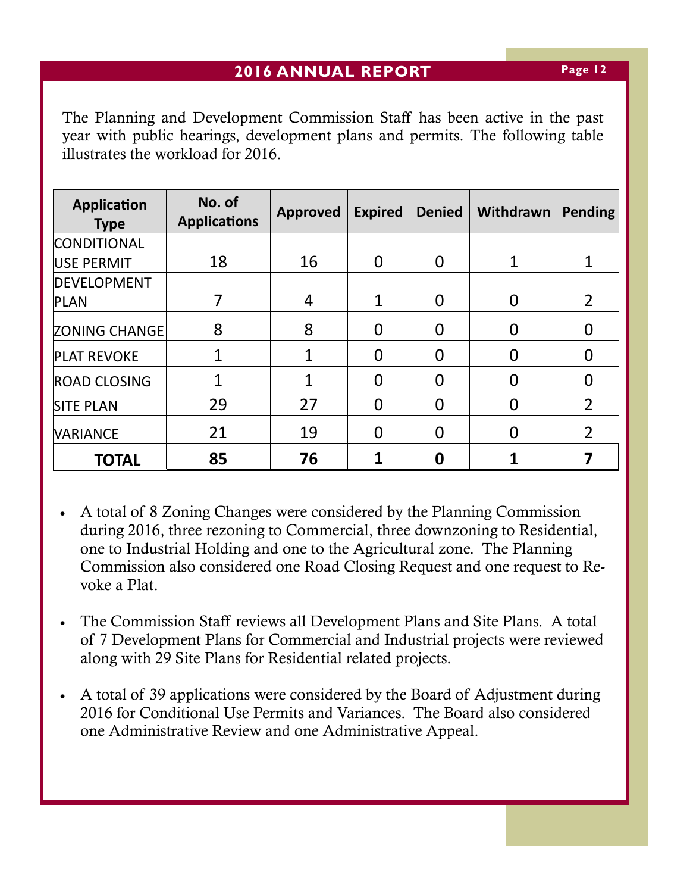The Planning and Development Commission Staff has been active in the past year with public hearings, development plans and permits. The following table illustrates the workload for 2016.

| <b>Application</b><br><b>Type</b> | No. of<br><b>Applications</b> | <b>Approved</b> | <b>Expired</b> | <b>Denied</b> | Withdrawn | <b>Pending</b> |
|-----------------------------------|-------------------------------|-----------------|----------------|---------------|-----------|----------------|
| <b>CONDITIONAL</b>                |                               |                 |                |               |           |                |
| USE PERMIT                        | 18                            | 16              | $\Omega$       | 0             |           |                |
| <b>DEVELOPMENT</b>                |                               |                 |                |               |           |                |
| <b>PLAN</b>                       |                               | 4               | $\mathbf 1$    |               |           | $\overline{2}$ |
| <b>ZONING CHANGE</b>              | 8                             | 8               | 0              | O             |           |                |
| <b>PLAT REVOKE</b>                | 1                             |                 | 0              |               |           |                |
| <b>ROAD CLOSING</b>               | 1                             |                 | O              |               |           |                |
| <b>SITE PLAN</b>                  | 29                            | 27              | 0              |               |           | $\overline{2}$ |
| <b>VARIANCE</b>                   | 21                            | 19              | 0              |               | $\Omega$  | $\overline{2}$ |
| <b>TOTAL</b>                      | 85                            | 76              |                |               |           |                |

- A total of 8 Zoning Changes were considered by the Planning Commission during 2016, three rezoning to Commercial, three downzoning to Residential, one to Industrial Holding and one to the Agricultural zone. The Planning Commission also considered one Road Closing Request and one request to Revoke a Plat.
- The Commission Staff reviews all Development Plans and Site Plans. A total of 7 Development Plans for Commercial and Industrial projects were reviewed along with 29 Site Plans for Residential related projects.
- A total of 39 applications were considered by the Board of Adjustment during 2016 for Conditional Use Permits and Variances. The Board also considered one Administrative Review and one Administrative Appeal.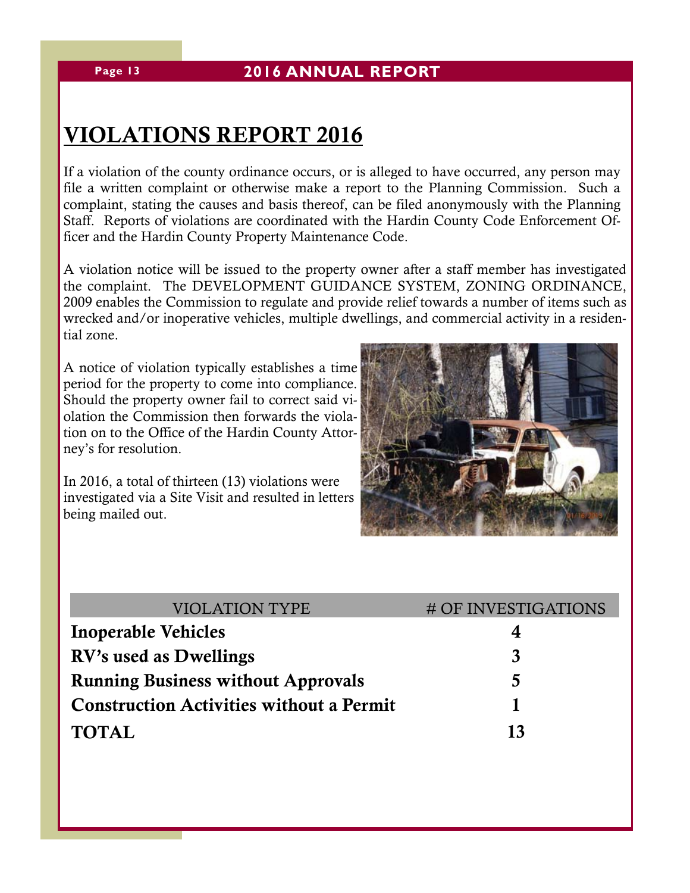## VIOLATIONS REPORT 2016

If a violation of the county ordinance occurs, or is alleged to have occurred, any person may file a written complaint or otherwise make a report to the Planning Commission. Such a complaint, stating the causes and basis thereof, can be filed anonymously with the Planning Staff. Reports of violations are coordinated with the Hardin County Code Enforcement Officer and the Hardin County Property Maintenance Code.

A violation notice will be issued to the property owner after a staff member has investigated the complaint. The DEVELOPMENT GUIDANCE SYSTEM, ZONING ORDINANCE, 2009 enables the Commission to regulate and provide relief towards a number of items such as wrecked and/or inoperative vehicles, multiple dwellings, and commercial activity in a residential zone.

A notice of violation typically establishes a time period for the property to come into compliance. Should the property owner fail to correct said violation the Commission then forwards the violation on to the Office of the Hardin County Attorney's for resolution.

In 2016, a total of thirteen (13) violations were investigated via a Site Visit and resulted in letters being mailed out.

![](_page_12_Picture_7.jpeg)

| <b>VIOLATION TYPE</b>                           | # OF INVESTIGATIONS |
|-------------------------------------------------|---------------------|
| <b>Inoperable Vehicles</b>                      |                     |
| RV's used as Dwellings                          | 3                   |
| <b>Running Business without Approvals</b>       | 5                   |
| <b>Construction Activities without a Permit</b> |                     |
| <b>TOTAL</b>                                    | 13                  |